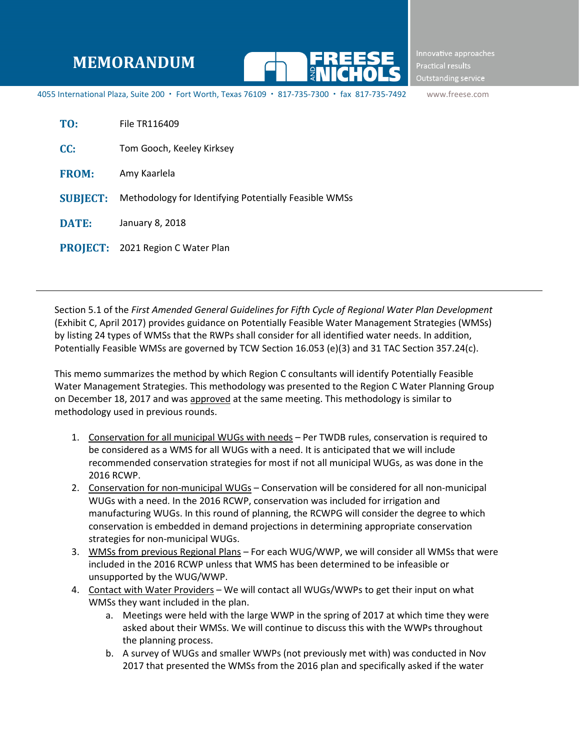## **MEMORANDUM**



Innovative approaches Practical results Outstanding service

4055 International Plaza, Suite 200 · Fort Worth, Texas 76109 · 817-735-7300 · fax 817-735-7492 www.freese.com

| TO:             | File TR116409                                         |
|-----------------|-------------------------------------------------------|
| CC:             | Tom Gooch, Keeley Kirksey                             |
| <b>FROM:</b>    | Amy Kaarlela                                          |
| <b>SUBJECT:</b> | Methodology for Identifying Potentially Feasible WMSs |
| <b>DATE:</b>    | January 8, 2018                                       |
|                 | <b>PROJECT: 2021 Region C Water Plan</b>              |

Section 5.1 of the *First Amended General Guidelines for Fifth Cycle of Regional Water Plan Development* (Exhibit C, April 2017) provides guidance on Potentially Feasible Water Management Strategies (WMSs) by listing 24 types of WMSs that the RWPs shall consider for all identified water needs. In addition, Potentially Feasible WMSs are governed by TCW Section 16.053 (e)(3) and 31 TAC Section 357.24(c).

This memo summarizes the method by which Region C consultants will identify Potentially Feasible Water Management Strategies. This methodology was presented to the Region C Water Planning Group on December 18, 2017 and was approved at the same meeting. This methodology is similar to methodology used in previous rounds.

- 1. Conservation for all municipal WUGs with needs Per TWDB rules, conservation is required to be considered as a WMS for all WUGs with a need. It is anticipated that we will include recommended conservation strategies for most if not all municipal WUGs, as was done in the 2016 RCWP.
- 2. Conservation for non-municipal WUGs Conservation will be considered for all non-municipal WUGs with a need. In the 2016 RCWP, conservation was included for irrigation and manufacturing WUGs. In this round of planning, the RCWPG will consider the degree to which conservation is embedded in demand projections in determining appropriate conservation strategies for non-municipal WUGs.
- 3. WMSs from previous Regional Plans For each WUG/WWP, we will consider all WMSs that were included in the 2016 RCWP unless that WMS has been determined to be infeasible or unsupported by the WUG/WWP.
- 4. Contact with Water Providers We will contact all WUGs/WWPs to get their input on what WMSs they want included in the plan.
	- a. Meetings were held with the large WWP in the spring of 2017 at which time they were asked about their WMSs. We will continue to discuss this with the WWPs throughout the planning process.
	- b. A survey of WUGs and smaller WWPs (not previously met with) was conducted in Nov 2017 that presented the WMSs from the 2016 plan and specifically asked if the water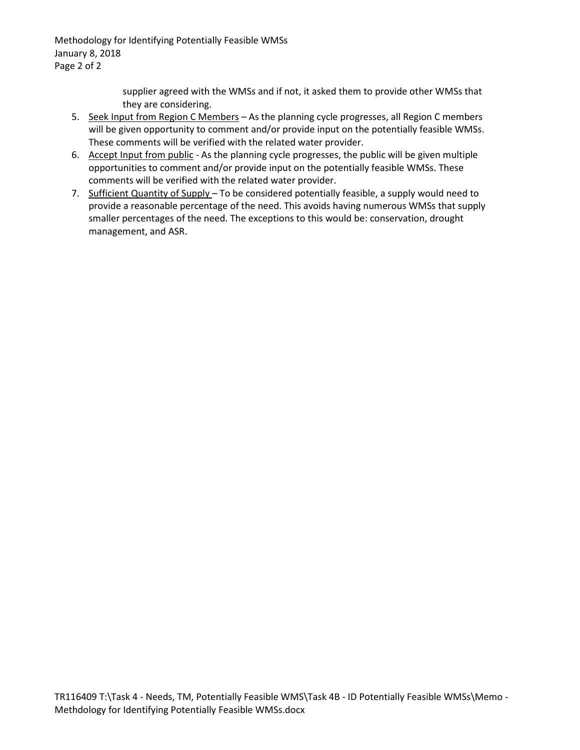Methodology for Identifying Potentially Feasible WMSs January 8, 2018 Page 2 of 2

> supplier agreed with the WMSs and if not, it asked them to provide other WMSs that they are considering.

- 5. Seek Input from Region C Members As the planning cycle progresses, all Region C members will be given opportunity to comment and/or provide input on the potentially feasible WMSs. These comments will be verified with the related water provider.
- 6. Accept Input from public As the planning cycle progresses, the public will be given multiple opportunities to comment and/or provide input on the potentially feasible WMSs. These comments will be verified with the related water provider.
- 7. Sufficient Quantity of Supply To be considered potentially feasible, a supply would need to provide a reasonable percentage of the need. This avoids having numerous WMSs that supply smaller percentages of the need. The exceptions to this would be: conservation, drought management, and ASR.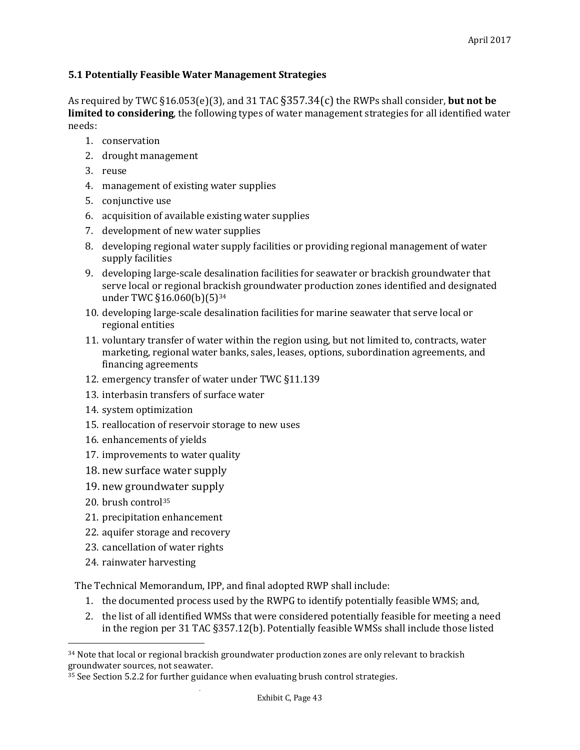## **5.1 Potentially Feasible Water Management Strategies**

As required by TWC §16.053(e)(3), and 31 TAC §357.34(c) the RWPs shall consider, **but not be limited to considering**, the following types of water management strategies for all identified water needs:

- 1. conservation
- 2. drought management
- 3. reuse
- 4. management of existing water supplies
- 5. conjunctive use
- 6. acquisition of available existing water supplies
- 7. development of new water supplies
- 8. developing regional water supply facilities or providing regional management of water supply facilities
- 9. developing large-scale desalination facilities for seawater or brackish groundwater that serve local or regional brackish groundwater production zones identified and designated under TWC §16.060(b)(5)<sup>[34](#page-2-0)</sup>
- 10. developing large-scale desalination facilities for marine seawater that serve local or regional entities
- 11. voluntary transfer of water within the region using, but not limited to, contracts, water marketing, regional water banks, sales, leases, options, subordination agreements, and financing agreements
- 12. emergency transfer of water under TWC §11.139
- 13. interbasin transfers of surface water
- 14. system optimization
- 15. reallocation of reservoir storage to new uses
- 16. enhancements of yields
- 17. improvements to water quality
- 18. new surface water supply
- 19. new ground[wa](#page-2-1)ter supply
- 20. brush control35

 $\overline{a}$ 

- 21. precipitation enhancement
- 22. aquifer storage and recovery
- 23. cancellation of water rights
- 24. rainwater harvesting

The Technical Memorandum, IPP, and final adopted RWP shall include:

- 1. the documented process used by the RWPG to identify potentially feasible WMS; and,
- 2. the list of all identified WMSs that were considered potentially feasible for meeting a need in the region per 31 TAC §357.12(b). Potentially feasible WMSs shall include those listed

<span id="page-2-0"></span><sup>&</sup>lt;sup>34</sup> Note that local or regional brackish groundwater production zones are only relevant to brackish groundwater sources, not seawater.

<span id="page-2-1"></span><sup>&</sup>lt;sup>35</sup> See Section 5.2.2 for further guidance when evaluating brush control strategies.